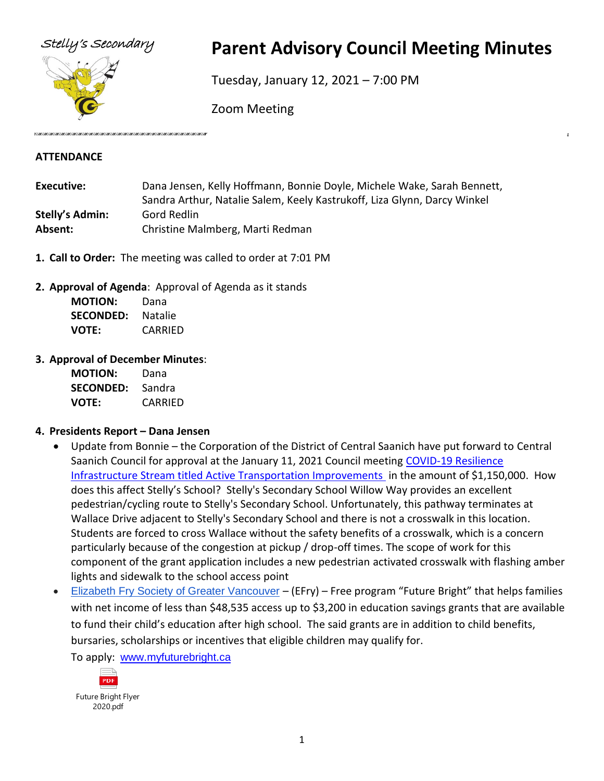

# Stelly's Secondary **Parent Advisory Council Meeting Minutes**

Tuesday, January 12, 2021 – 7:00 PM

Zoom Meeting

#### **ATTENDANCE**

- **Executive:** Dana Jensen, Kelly Hoffmann, Bonnie Doyle, Michele Wake, Sarah Bennett, Sandra Arthur, Natalie Salem, Keely Kastrukoff, Liza Glynn, Darcy Winkel **Stelly's Admin:** Gord Redlin **Absent:** Christine Malmberg, Marti Redman
- **1. Call to Order:** The meeting was called to order at 7:01 PM
- **2. Approval of Agenda**: Approval of Agenda as it stands

| <b>MOTION:</b>   | Dana    |
|------------------|---------|
| <b>SECONDED:</b> | Natalie |
| <b>VOTE:</b>     | CARRIED |

## **3. Approval of December Minutes**:

| <b>MOTION:</b>   | Dana    |
|------------------|---------|
| <b>SECONDED:</b> | Sandra  |
| <b>VOTE:</b>     | CARRIED |

## **4. Presidents Report – Dana Jensen**

- Update from Bonnie the Corporation of the District of Central Saanich have put forward to Central Saanich Council for approval at the January 11, 2021 Council meeting [COVID-19 Resilience](https://centralsaanich.civicweb.net/document/104541/Grant%20Application%20-%20COVID%20Resilience%20Infrastruc.pdf?handle=F07C031B35AF45668D06863232B501C8https%3A%2F%2Fcentralsaanich.civicweb.net%2Fdocument%2F104541%2FGrant%20Application%20-%20COVID%20Resilience%20Infrastruc.pdf%3Fhandle%3DF07C031B35AF45668D06863232B501C8&fbclid=IwAR06KcwQv2aA7-M-YnNn1SE_-i9oi_CzcqzviS4PCG6V3cyVUthpN7-vwIo)  [Infrastructure Stream titled Active Transportation Improvements](https://centralsaanich.civicweb.net/document/104541/Grant%20Application%20-%20COVID%20Resilience%20Infrastruc.pdf?handle=F07C031B35AF45668D06863232B501C8https%3A%2F%2Fcentralsaanich.civicweb.net%2Fdocument%2F104541%2FGrant%20Application%20-%20COVID%20Resilience%20Infrastruc.pdf%3Fhandle%3DF07C031B35AF45668D06863232B501C8&fbclid=IwAR06KcwQv2aA7-M-YnNn1SE_-i9oi_CzcqzviS4PCG6V3cyVUthpN7-vwIo) in the amount of \$1,150,000. How does this affect Stelly's School? Stelly's Secondary School Willow Way provides an excellent pedestrian/cycling route to Stelly's Secondary School. Unfortunately, this pathway terminates at Wallace Drive adjacent to Stelly's Secondary School and there is not a crosswalk in this location. Students are forced to cross Wallace without the safety benefits of a crosswalk, which is a concern particularly because of the congestion at pickup / drop-off times. The scope of work for this component of the grant application includes a new pedestrian activated crosswalk with flashing amber lights and sidewalk to the school access point
- [Elizabeth Fry Society of Greater Vancouver](https://www.elizabethfry.com/) (EFry) Free program "Future Bright" that helps families with net income of less than \$48,535 access up to \$3,200 in education savings grants that are available to fund their child's education after high school. The said grants are in addition to child benefits, bursaries, scholarships or incentives that eligible children may qualify for.

To apply: [www.myfuturebright.ca](http://www.myfuturebright.ca/) 

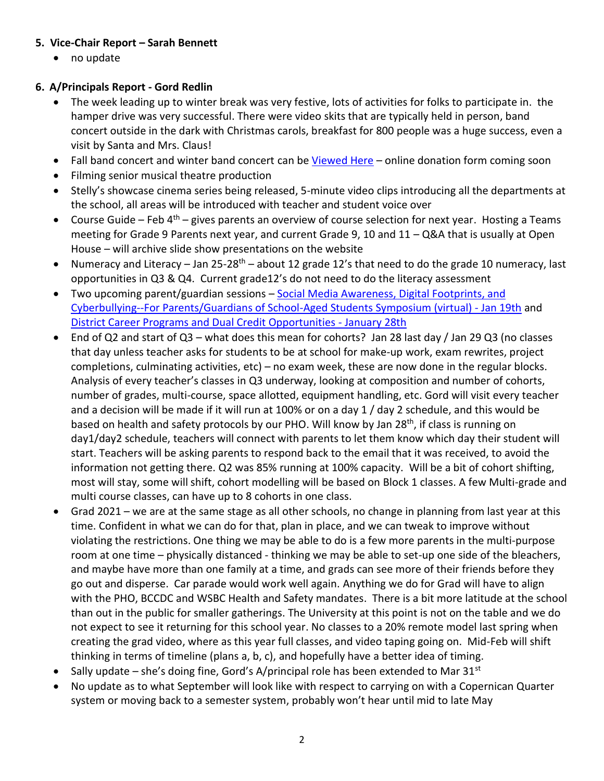# **5. Vice-Chair Report – Sarah Bennett**

• no update

# **6. A/Principals Report - Gord Redlin**

- The week leading up to winter break was very festive, lots of activities for folks to participate in. the hamper drive was very successful. There were video skits that are typically held in person, band concert outside in the dark with Christmas carols, breakfast for 800 people was a huge success, even a visit by Santa and Mrs. Claus!
- Fall band concert and winter band concert can be [Viewed Here](about:blank) online donation form coming soon
- Filming senior musical theatre production
- Stelly's showcase cinema series being released, 5-minute video clips introducing all the departments at the school, all areas will be introduced with teacher and student voice over
- Course Guide Feb  $4<sup>th</sup>$  gives parents an overview of course selection for next year. Hosting a Teams meeting for Grade 9 Parents next year, and current Grade 9, 10 and 11 – Q&A that is usually at Open House – will archive slide show presentations on the website
- Numeracy and Literacy Jan 25-28<sup>th</sup> about 12 grade 12's that need to do the grade 10 numeracy, last opportunities in Q3 & Q4. Current grade12's do not need to do the literacy assessment
- Two upcoming parent/guardian sessions [Social Media Awareness, Digital Footprints, and](about:blank)  [Cyberbullying--For Parents/Guardians of School-Aged Students Symposium \(virtual\) -](about:blank) Jan 19th and [District Career Programs and Dual Credit Opportunities -](about:blank) January 28th
- End of Q2 and start of Q3 what does this mean for cohorts? Jan 28 last day / Jan 29 Q3 (no classes that day unless teacher asks for students to be at school for make-up work, exam rewrites, project completions, culminating activities, etc) – no exam week, these are now done in the regular blocks. Analysis of every teacher's classes in Q3 underway, looking at composition and number of cohorts, number of grades, multi-course, space allotted, equipment handling, etc. Gord will visit every teacher and a decision will be made if it will run at 100% or on a day 1 / day 2 schedule, and this would be based on health and safety protocols by our PHO. Will know by Jan 28<sup>th</sup>, if class is running on day1/day2 schedule, teachers will connect with parents to let them know which day their student will start. Teachers will be asking parents to respond back to the email that it was received, to avoid the information not getting there. Q2 was 85% running at 100% capacity. Will be a bit of cohort shifting, most will stay, some will shift, cohort modelling will be based on Block 1 classes. A few Multi-grade and multi course classes, can have up to 8 cohorts in one class.
- Grad 2021 we are at the same stage as all other schools, no change in planning from last year at this time. Confident in what we can do for that, plan in place, and we can tweak to improve without violating the restrictions. One thing we may be able to do is a few more parents in the multi-purpose room at one time – physically distanced - thinking we may be able to set-up one side of the bleachers, and maybe have more than one family at a time, and grads can see more of their friends before they go out and disperse. Car parade would work well again. Anything we do for Grad will have to align with the PHO, BCCDC and WSBC Health and Safety mandates. There is a bit more latitude at the school than out in the public for smaller gatherings. The University at this point is not on the table and we do not expect to see it returning for this school year. No classes to a 20% remote model last spring when creating the grad video, where as this year full classes, and video taping going on. Mid-Feb will shift thinking in terms of timeline (plans a, b, c), and hopefully have a better idea of timing.
- Sally update she's doing fine, Gord's A/principal role has been extended to Mar  $31^{st}$
- No update as to what September will look like with respect to carrying on with a Copernican Quarter system or moving back to a semester system, probably won't hear until mid to late May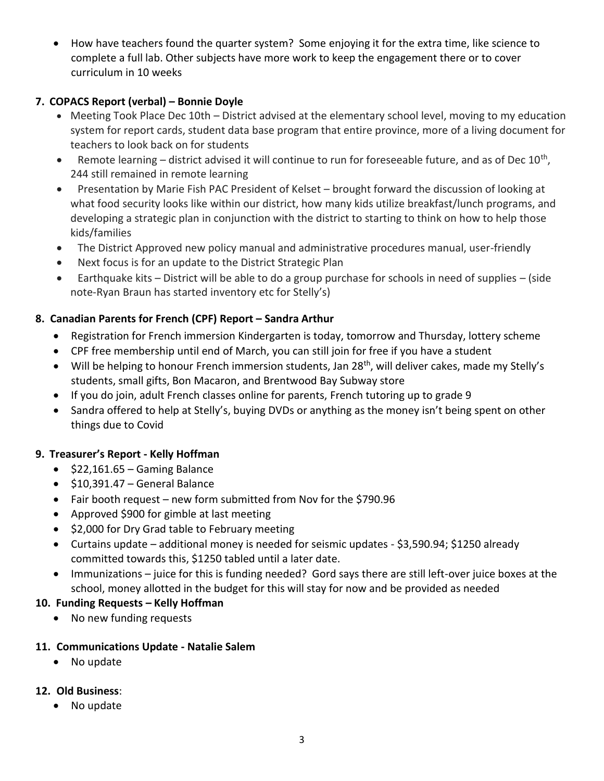• How have teachers found the quarter system? Some enjoying it for the extra time, like science to complete a full lab. Other subjects have more work to keep the engagement there or to cover curriculum in 10 weeks

# **7. COPACS Report (verbal) – Bonnie Doyle**

- Meeting Took Place Dec 10th District advised at the elementary school level, moving to my education system for report cards, student data base program that entire province, more of a living document for teachers to look back on for students
- Remote learning district advised it will continue to run for foreseeable future, and as of Dec  $10^{th}$ , 244 still remained in remote learning
- Presentation by Marie Fish PAC President of Kelset brought forward the discussion of looking at what food security looks like within our district, how many kids utilize breakfast/lunch programs, and developing a strategic plan in conjunction with the district to starting to think on how to help those kids/families
- The District Approved new policy manual and administrative procedures manual, user-friendly
- Next focus is for an update to the District Strategic Plan
- Earthquake kits District will be able to do a group purchase for schools in need of supplies (side note-Ryan Braun has started inventory etc for Stelly's)

## **8. Canadian Parents for French (CPF) Report – Sandra Arthur**

- Registration for French immersion Kindergarten is today, tomorrow and Thursday, lottery scheme
- CPF free membership until end of March, you can still join for free if you have a student
- Will be helping to honour French immersion students, Jan 28<sup>th</sup>, will deliver cakes, made my Stelly's students, small gifts, Bon Macaron, and Brentwood Bay Subway store
- If you do join, adult French classes online for parents, French tutoring up to grade 9
- Sandra offered to help at Stelly's, buying DVDs or anything as the money isn't being spent on other things due to Covid

# **9. Treasurer's Report - Kelly Hoffman**

- $\bullet$  \$22,161.65 Gaming Balance
- \$10,391.47 General Balance
- Fair booth request new form submitted from Nov for the \$790.96
- Approved \$900 for gimble at last meeting
- \$2,000 for Dry Grad table to February meeting
- Curtains update additional money is needed for seismic updates \$3,590.94; \$1250 already committed towards this, \$1250 tabled until a later date.
- Immunizations juice for this is funding needed? Gord says there are still left-over juice boxes at the school, money allotted in the budget for this will stay for now and be provided as needed

## **10. Funding Requests – Kelly Hoffman**

• No new funding requests

## **11. Communications Update - Natalie Salem**

• No update

# **12. Old Business**:

• No update